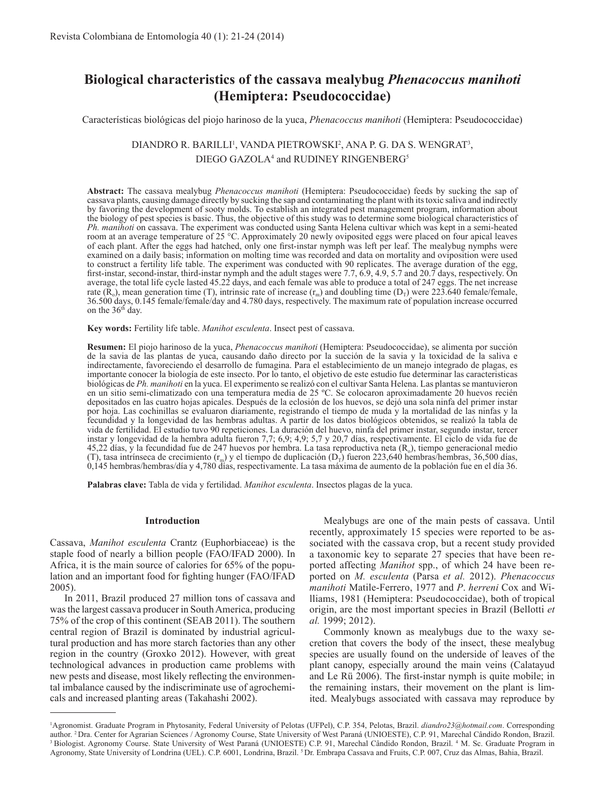# **Biological characteristics of the cassava mealybug** *Phenacoccus manihoti* **(Hemiptera: Pseudococcidae)**

Características biológicas del piojo harinoso de la yuca, *Phenacoccus manihoti* (Hemiptera: Pseudococcidae)

# DIANDRO R. BARILLI<sup>1</sup>, VANDA PIETROWSKI<sup>2</sup>, ANA P. G. DA S. WENGRAT<sup>3</sup>, DIEGO GAZOLA<sup>4</sup> and RUDINEY RINGENBERG<sup>5</sup>

**Abstract:** The cassava mealybug *Phenacoccus manihoti* (Hemiptera: Pseudococcidae) feeds by sucking the sap of cassava plants, causing damage directly by sucking the sap and contaminating the plant with its toxic saliva and indirectly by favoring the development of sooty molds. To establish an integrated pest management program, information about the biology of pest species is basic. Thus, the objective of this study was to determine some biological characteristics of *Ph. manihoti* on cassava. The experiment was conducted using Santa Helena cultivar which was kept in a semi-heated room at an average temperature of 25 °C. Approximately 20 newly oviposited eggs were placed on four apical leaves of each plant. After the eggs had hatched, only one first-instar nymph was left per leaf. The mealybug nymphs were examined on a daily basis; information on molting time was recorded and data on mortality and oviposition were used to construct a fertility life table. The experiment was conducted with 90 replicates. The average duration of the egg, first-instar, second-instar, third-instar nymph and the adult stages were 7.7, 6.9, 4.9, 5.7 and 20.7 days, respectively. On average, the total life cycle lasted 45.22 days, and each female was able to produce a total of 247 eggs. The net increase rate ( $\tilde{R}_0$ ), mean generation time (T), intrinsic rate of increase ( $r_m$ ) and doubling time ( $D_T$ ) were 223.640 female/female, 36.500 days, 0.145 female/female/day and 4.780 days, respectively. The maximum rate of population increase occurred on the 36<sup>th</sup> day.

**Key words:** Fertility life table. *Manihot esculenta*. Insect pest of cassava.

**Resumen:** El piojo harinoso de la yuca, *Phenacoccus manihoti* (Hemiptera: Pseudococcidae), se alimenta por succión de la savia de las plantas de yuca, causando daño directo por la succión de la savia y la toxicidad de la saliva e indirectamente, favoreciendo el desarrollo de fumagina. Para el establecimiento de un manejo integrado de plagas, es importante conocer la biología de este insecto. Por lo tanto, el objetivo de este estudio fue determinar las caracteristicas biológicas de *Ph. manihoti* en la yuca. El experimento se realizó con el cultivar Santa Helena. Las plantas se mantuvieron en un sitio semi-climatizado con una temperatura media de 25 ºC. Se colocaron aproximadamente 20 huevos recién depositados en las cuatro hojas apicales. Después de la eclosión de los huevos, se dejó una sola ninfa del primer instar por hoja. Las cochinillas se evaluaron diariamente, registrando el tiempo de muda y la mortalidad de las ninfas y la fecundidad y la longevidad de las hembras adultas. A partir de los datos biológicos obtenidos, se realizó la tabla de vida de fertilidad. El estudio tuvo 90 repeticiones. La duración del huevo, ninfa del primer instar, segundo instar, tercer instar y longevidad de la hembra adulta fueron 7,7; 6,9; 4,9; 5,7 y 20,7 días, respectivamente. El ciclo de vida fue de 45,22 días, y la fecundidad fue de 247 huevos por hembra. La tasa reproductiva neta  $(R_0)$ , tiempo generacional medio (T), tasa intrínseca de crecimiento (r<sub>m</sub>) y el tiempo de duplicación (D<sub>r</sub>) fueron 223,640 hembras/hembras, 36,500 días, 0,145 hembras/hembras/día y 4,780 días, respectivamente. La tasa máxima de aumento de la población fue en el día 36.

**Palabras clave:** Tabla de vida y fertilidad. *Manihot esculenta*. Insectos plagas de la yuca.

## **Introduction**

Cassava, *Manihot esculenta* Crantz (Euphorbiaceae) is the staple food of nearly a billion people (FAO/IFAD 2000). In Africa, it is the main source of calories for 65% of the population and an important food for fighting hunger (FAO/IFAD 2005).

In 2011, Brazil produced 27 million tons of cassava and was the largest cassava producer in South America, producing 75% of the crop of this continent (SEAB 2011). The southern central region of Brazil is dominated by industrial agricultural production and has more starch factories than any other region in the country (Groxko 2012). However, with great technological advances in production came problems with new pests and disease, most likely reflecting the environmental imbalance caused by the indiscriminate use of agrochemicals and increased planting areas (Takahashi 2002).

Mealybugs are one of the main pests of cassava. Until recently, approximately 15 species were reported to be associated with the cassava crop, but a recent study provided a taxonomic key to separate 27 species that have been reported affecting *Manihot* spp., of which 24 have been reported on *M. esculenta* (Parsa *et al.* 2012). *Phenacoccus manihoti* Matile-Ferrero, 1977 and *P*. *herreni* Cox and Williams, 1981 (Hemiptera: Pseudococcidae), both of tropical origin, are the most important species in Brazil (Bellotti *et al.* 1999; 2012).

Commonly known as mealybugs due to the waxy secretion that covers the body of the insect, these mealybug species are usually found on the underside of leaves of the plant canopy, especially around the main veins (Calatayud and Le Rü 2006). The first-instar nymph is quite mobile; in the remaining instars, their movement on the plant is limited. Mealybugs associated with cassava may reproduce by

<sup>1</sup> Agronomist. Graduate Program in Phytosanity, Federal University of Pelotas (UFPel), C.P. 354, Pelotas, Brazil. *diandro23@hotmail.com*. Corresponding author. <sup>2</sup> Dra. Center for Agrarian Sciences / Agronomy Course, State University of West Paraná (UNIOESTE), C.P. 91, Marechal Cândido Rondon, Brazil.<br><sup>3</sup> Biologist. Agronomy Course. State University of West Paraná (UNIOES Agronomy, State University of Londrina (UEL). C.P. 6001, Londrina, Brazil. 5 Dr. Embrapa Cassava and Fruits, C.P. 007, Cruz das Almas, Bahia, Brazil.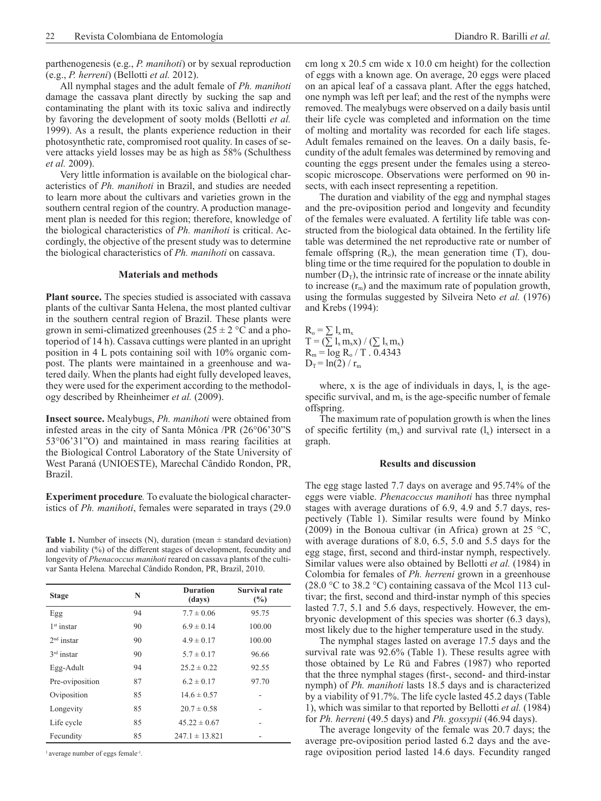parthenogenesis (e.g., *P. manihoti*) or by sexual reproduction (e.g., *P. herreni*) (Bellotti *et al.* 2012).

All nymphal stages and the adult female of *Ph. manihoti* damage the cassava plant directly by sucking the sap and contaminating the plant with its toxic saliva and indirectly by favoring the development of sooty molds (Bellotti *et al.* 1999). As a result, the plants experience reduction in their photosynthetic rate, compromised root quality. In cases of severe attacks yield losses may be as high as 58% (Schulthess *et al.* 2009).

Very little information is available on the biological characteristics of *Ph. manihoti* in Brazil, and studies are needed to learn more about the cultivars and varieties grown in the southern central region of the country. A production management plan is needed for this region; therefore, knowledge of the biological characteristics of *Ph. manihoti* is critical. Accordingly, the objective of the present study was to determine the biological characteristics of *Ph. manihoti* on cassava.

# **Materials and methods**

**Plant source.** The species studied is associated with cassava plants of the cultivar Santa Helena, the most planted cultivar in the southern central region of Brazil. These plants were grown in semi-climatized greenhouses  $(25 \pm 2 \degree C \text{ and a pho-}$ toperiod of 14 h). Cassava cuttings were planted in an upright position in 4 L pots containing soil with 10% organic compost. The plants were maintained in a greenhouse and watered daily. When the plants had eight fully developed leaves, they were used for the experiment according to the methodology described by Rheinheimer *et al.* (2009).

**Insect source.** Mealybugs, *Ph. manihoti* were obtained from infested areas in the city of Santa Mônica /PR (26°06'30"S 53°06'31"O) and maintained in mass rearing facilities at the Biological Control Laboratory of the State University of West Paraná (UNIOESTE), Marechal Cândido Rondon, PR, Brazil.

**Experiment procedure***.* To evaluate the biological characteristics of *Ph. manihoti*, females were separated in trays (29.0

**Table 1.** Number of insects (N), duration (mean  $\pm$  standard deviation) and viability (%) of the different stages of development, fecundity and longevity of *Phenacoccus manihoti* reared on cassava plants of the cultivar Santa Helena*.* Marechal Cândido Rondon, PR, Brazil, 2010.

| <b>Stage</b>    | N  | <b>Duration</b><br>(days) | <b>Survival rate</b><br>(%) |
|-----------------|----|---------------------------|-----------------------------|
| Egg             | 94 | $7.7 \pm 0.06$            | 95.75                       |
| $1st$ instar    | 90 | $6.9 \pm 0.14$            | 100.00                      |
| $2nd$ instar    | 90 | $4.9 \pm 0.17$            | 100.00                      |
| $3rd$ instar    | 90 | $5.7 \pm 0.17$            | 96.66                       |
| Egg-Adult       | 94 | $25.2 \pm 0.22$           | 92.55                       |
| Pre-oviposition | 87 | $6.2 \pm 0.17$            | 97.70                       |
| Oviposition     | 85 | $14.6 \pm 0.57$           |                             |
| Longevity       | 85 | $20.7 \pm 0.58$           |                             |
| Life cycle      | 85 | $45.22 \pm 0.67$          |                             |
| Fecundity       | 85 | $247.1 \pm 13.821$        |                             |

<sup>1</sup> average number of eggs female<sup>-1</sup>

cm long x 20.5 cm wide x 10.0 cm height) for the collection of eggs with a known age. On average, 20 eggs were placed on an apical leaf of a cassava plant. After the eggs hatched, one nymph was left per leaf; and the rest of the nymphs were removed. The mealybugs were observed on a daily basis until their life cycle was completed and information on the time of molting and mortality was recorded for each life stages. Adult females remained on the leaves. On a daily basis, fecundity of the adult females was determined by removing and counting the eggs present under the females using a stereoscopic microscope. Observations were performed on 90 insects, with each insect representing a repetition.

The duration and viability of the egg and nymphal stages and the pre-oviposition period and longevity and fecundity of the females were evaluated. A fertility life table was constructed from the biological data obtained. In the fertility life table was determined the net reproductive rate or number of female offspring  $(R_0)$ , the mean generation time  $(T)$ , doubling time or the time required for the population to double in number  $(D<sub>T</sub>)$ , the intrinsic rate of increase or the innate ability to increase  $(r_m)$  and the maximum rate of population growth, using the formulas suggested by Silveira Neto *et al.* (1976) and Krebs (1994):

 $R_o = \sum l_x m_x$  $T = (\sum l_x m_x x) / (\sum l_x m_x)$  $R_m = \log R_o / T$ . 0.4343  $D_T = ln(2) / r_m$ 

where, x is the age of individuals in days,  $l_x$  is the agespecific survival, and  $m<sub>x</sub>$  is the age-specific number of female offspring.

The maximum rate of population growth is when the lines of specific fertility  $(m_x)$  and survival rate  $(l_x)$  intersect in a graph.

#### **Results and discussion**

The egg stage lasted 7.7 days on average and 95.74% of the eggs were viable. *Phenacoccus manihoti* has three nymphal stages with average durations of 6.9, 4.9 and 5.7 days, respectively (Table 1). Similar results were found by Minko (2009) in the Bonoua cultivar (in Africa) grown at 25  $^{\circ}$ C, with average durations of 8.0, 6.5, 5.0 and 5.5 days for the egg stage, first, second and third-instar nymph, respectively. Similar values were also obtained by Bellotti *et al.* (1984) in Colombia for females of *Ph. herreni* grown in a greenhouse (28.0 °C to 38.2 °C) containing cassava of the Mcol 113 cultivar; the first, second and third-instar nymph of this species lasted 7.7, 5.1 and 5.6 days, respectively. However, the embryonic development of this species was shorter (6.3 days), most likely due to the higher temperature used in the study.

The nymphal stages lasted on average 17.5 days and the survival rate was 92.6% (Table 1). These results agree with those obtained by Le Rü and Fabres (1987) who reported that the three nymphal stages (first-, second- and third-instar nymph) of *Ph. manihoti* lasts 18.5 days and is characterized by a viability of 91.7%. The life cycle lasted 45.2 days (Table 1), which was similar to that reported by Bellotti *et al.* (1984) for *Ph. herreni* (49.5 days) and *Ph. gossypii* (46.94 days).

The average longevity of the female was 20.7 days; the average pre-oviposition period lasted 6.2 days and the average oviposition period lasted 14.6 days. Fecundity ranged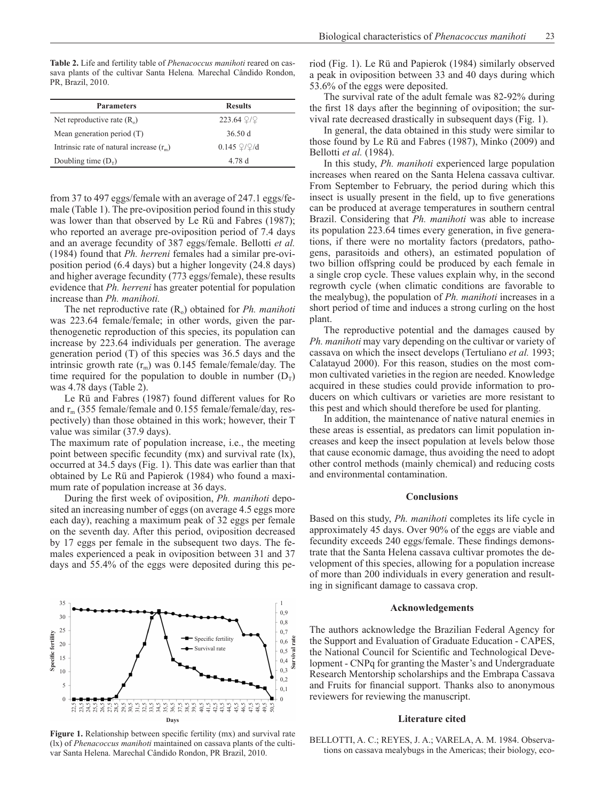**Table 2.** Life and fertility table of *Phenacoccus manihoti* reared on cassava plants of the cultivar Santa Helena*.* Marechal Cândido Rondon, PR, Brazil, 2010.

| <b>Parameters</b>                          | <b>Results</b>      |  |
|--------------------------------------------|---------------------|--|
| Net reproductive rate $(R_0)$              | $223.64$ $2/2$      |  |
| Mean generation period (T)                 | 36.50 d             |  |
| Intrinsic rate of natural increase $(r_m)$ | $0.145 \frac{Q}{Q}$ |  |
| Doubling time $(Dr)$                       | 4.78 d              |  |

from 37 to 497 eggs/female with an average of 247.1 eggs/female (Table 1). The pre-oviposition period found in this study was lower than that observed by Le Rü and Fabres (1987); who reported an average pre-oviposition period of 7.4 days and an average fecundity of 387 eggs/female. Bellotti *et al.* (1984) found that *Ph. herreni* females had a similar pre-oviposition period (6.4 days) but a higher longevity (24.8 days) and higher average fecundity (773 eggs/female), these results evidence that *Ph. herreni* has greater potential for population increase than *Ph. manihoti.*

The net reproductive rate  $(R_0)$  obtained for *Ph. manihoti* was 223.64 female/female; in other words, given the parthenogenetic reproduction of this species, its population can increase by 223.64 individuals per generation. The average generation period (T) of this species was 36.5 days and the intrinsic growth rate  $(r_m)$  was 0.145 female/female/day. The time required for the population to double in number  $(D_T)$ was 4.78 days (Table 2).

Le Rü and Fabres (1987) found different values for Ro and rm (355 female/female and 0.155 female/female/day, respectively) than those obtained in this work; however, their T value was similar (37.9 days).

The maximum rate of population increase, i.e., the meeting point between specific fecundity (mx) and survival rate (lx), occurred at 34.5 days (Fig. 1). This date was earlier than that obtained by Le Rü and Papierok (1984) who found a maximum rate of population increase at 36 days.

During the first week of oviposition, *Ph. manihoti* deposited an increasing number of eggs (on average 4.5 eggs more each day), reaching a maximum peak of 32 eggs per female on the seventh day. After this period, oviposition decreased by 17 eggs per female in the subsequent two days. The females experienced a peak in oviposition between 31 and 37 days and 55.4% of the eggs were deposited during this pe-



**Figure 1.** Relationship between specific fertility (mx) and survival rate (lx) of *Phenacoccus manihoti* maintained on cassava plants of the cultivar Santa Helena. Marechal Cândido Rondon, PR Brazil, 2010.

riod (Fig. 1). Le Rü and Papierok (1984) similarly observed a peak in oviposition between 33 and 40 days during which 53.6% of the eggs were deposited.

The survival rate of the adult female was 82-92% during the first 18 days after the beginning of oviposition; the survival rate decreased drastically in subsequent days (Fig. 1).

In general, the data obtained in this study were similar to those found by Le Rü and Fabres (1987), Minko (2009) and Bellotti *et al.* (1984).

In this study, *Ph. manihoti* experienced large population increases when reared on the Santa Helena cassava cultivar. From September to February, the period during which this insect is usually present in the field, up to five generations can be produced at average temperatures in southern central Brazil. Considering that *Ph. manihoti* was able to increase its population 223.64 times every generation, in five generations, if there were no mortality factors (predators, pathogens, parasitoids and others), an estimated population of two billion offspring could be produced by each female in a single crop cycle. These values explain why, in the second regrowth cycle (when climatic conditions are favorable to the mealybug), the population of *Ph. manihoti* increases in a short period of time and induces a strong curling on the host plant.

The reproductive potential and the damages caused by *Ph. manihoti* may vary depending on the cultivar or variety of cassava on which the insect develops (Tertuliano *et al.* 1993; Calatayud 2000). For this reason, studies on the most common cultivated varieties in the region are needed. Knowledge acquired in these studies could provide information to producers on which cultivars or varieties are more resistant to this pest and which should therefore be used for planting.

In addition, the maintenance of native natural enemies in these areas is essential, as predators can limit population increases and keep the insect population at levels below those that cause economic damage, thus avoiding the need to adopt other control methods (mainly chemical) and reducing costs and environmental contamination.

## **Conclusions**

Based on this study, *Ph. manihoti* completes its life cycle in approximately 45 days. Over 90% of the eggs are viable and fecundity exceeds 240 eggs/female. These findings demonstrate that the Santa Helena cassava cultivar promotes the development of this species, allowing for a population increase of more than 200 individuals in every generation and resulting in significant damage to cassava crop.

#### **Acknowledgements**

The authors acknowledge the Brazilian Federal Agency for the Support and Evaluation of Graduate Education - CAPES, the National Council for Scientific and Technological Development - CNPq for granting the Master's and Undergraduate Research Mentorship scholarships and the Embrapa Cassava and Fruits for financial support. Thanks also to anonymous reviewers for reviewing the manuscript.

#### **Literature cited**

BELLOTTI, A. C.; REYES, J. A.; VARELA, A. M. 1984. Observations on cassava mealybugs in the Americas; their biology, eco